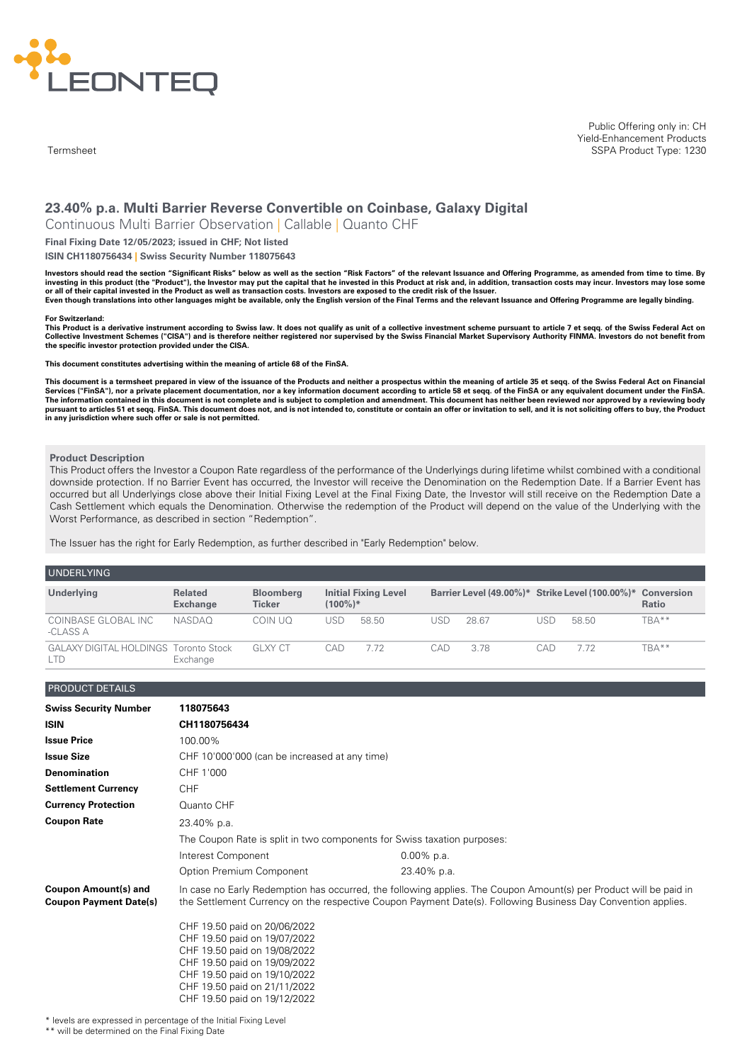

**Termsheet** 

Public Offering only in: CH Yield-Enhancement Products SSPA Product Type: 1230

# **23.40% p.a. Multi Barrier Reverse Convertible on Coinbase, Galaxy Digital**

Continuous Multi Barrier Observation | Callable | Quanto CHF

# **Final Fixing Date 12/05/2023; issued in CHF; Not listed**

### **ISIN CH1180756434 | Swiss Security Number 118075643**

Investors should read the section "Significant Risks" below as well as the section "Risk Factors" of the relevant Issuance and Offering Programme, as amended from time to time. By investing in this product (the "Product"), the Investor may put the capital that he invested in this Product at risk and, in addition, transaction costs may incur. Investors may lose some or all of their capital invested in the Product as well as transaction costs. Investors are exposed to the credit risk of the Issuer. Even though translations into other languages might be available, only the English version of the Final Terms and the relevant Issuance and Offering Programme are legally binding.

#### **For Switzerland:**

This Product is a derivative instrument according to Swiss law. It does not qualify as unit of a collective investment scheme pursuant to article 7 et seqq. of the Swiss Federal Act on Collective Investment Schemes ("CISA") and is therefore neither registered nor supervised by the Swiss Financial Market Supervisory Authority FINMA. Investors do not benefit from **the specific investor protection provided under the CISA.**

**This document constitutes advertising within the meaning of article 68 of the FinSA.**

This document is a termsheet prepared in view of the issuance of the Products and neither a prospectus within the meaning of article 35 et seqq. of the Swiss Federal Act on Financial<br>Services ("FinSA"), nor a private place The information contained in this document is not complete and is subject to completion and amendment. This document has neither been reviewed nor approved by a reviewing body pursuant to articles 51 et seqq. FinSA. This document does not, and is not intended to, constitute or contain an offer or invitation to sell, and it is not soliciting offers to buy, the Product<br>in any jurisdiction where su

### **Product Description**

This Product offers the Investor a Coupon Rate regardless of the performance of the Underlyings during lifetime whilst combined with a conditional downside protection. If no Barrier Event has occurred, the Investor will receive the Denomination on the Redemption Date. If a Barrier Event has occurred but all Underlyings close above their Initial Fixing Level at the Final Fixing Date, the Investor will still receive on the Redemption Date a Cash Settlement which equals the Denomination. Otherwise the redemption of the Product will depend on the value of the Underlying with the Worst Performance, as described in section "Redemption".

The Issuer has the right for Early Redemption, as further described in "Early Redemption" below.

### UNDERLYING

| <b>UNDERETING</b>                            |                                   |                                   |            |                             |     |                                                            |     |       |              |
|----------------------------------------------|-----------------------------------|-----------------------------------|------------|-----------------------------|-----|------------------------------------------------------------|-----|-------|--------------|
| Underlying                                   | <b>Related</b><br><b>Exchange</b> | <b>Bloomberg</b><br><b>Ticker</b> | $(100\%)*$ | <b>Initial Fixing Level</b> |     | Barrier Level (49.00%)* Strike Level (100.00%)* Conversion |     |       | <b>Ratio</b> |
| COINBASE GLOBAL INC<br>-CLASS A              | NASDAO                            | COIN UO                           | USD        | 58.50                       | USD | 28.67                                                      | USD | 58.50 | TBA**        |
| <b>GALAXY DIGITAL HOLDINGS Toronto Stock</b> | Exchange                          | GI XY CT                          | CAD        | 7.72                        | CAD | 3.78                                                       | CAD | 7.72  | TBA**        |

#### PRODUCT DETAILS

| <b>Swiss Security Number</b>                                 | 118075643                                                    |                                                                                                                                                                                                                                   |
|--------------------------------------------------------------|--------------------------------------------------------------|-----------------------------------------------------------------------------------------------------------------------------------------------------------------------------------------------------------------------------------|
| <b>ISIN</b>                                                  | CH1180756434                                                 |                                                                                                                                                                                                                                   |
| <b>Issue Price</b>                                           | 100.00%                                                      |                                                                                                                                                                                                                                   |
| <b>Issue Size</b>                                            | CHF 10'000'000 (can be increased at any time)                |                                                                                                                                                                                                                                   |
| <b>Denomination</b>                                          | CHF 1'000                                                    |                                                                                                                                                                                                                                   |
| <b>Settlement Currency</b>                                   | <b>CHF</b>                                                   |                                                                                                                                                                                                                                   |
| <b>Currency Protection</b>                                   | Quanto CHF                                                   |                                                                                                                                                                                                                                   |
| <b>Coupon Rate</b>                                           | 23.40% p.a.                                                  |                                                                                                                                                                                                                                   |
|                                                              |                                                              | The Coupon Rate is split in two components for Swiss taxation purposes:                                                                                                                                                           |
|                                                              | Interest Component                                           | $0.00\%$ p.a.                                                                                                                                                                                                                     |
|                                                              | Option Premium Component                                     | 23.40% p.a.                                                                                                                                                                                                                       |
| <b>Coupon Amount(s) and</b><br><b>Coupon Payment Date(s)</b> |                                                              | In case no Early Redemption has occurred, the following applies. The Coupon Amount(s) per Product will be paid in<br>the Settlement Currency on the respective Coupon Payment Date(s). Following Business Day Convention applies. |
|                                                              | CHF 19.50 paid on 20/06/2022<br>CHF 19.50 paid on 19/07/2022 |                                                                                                                                                                                                                                   |
|                                                              | CHF 19.50 paid on 19/08/2022                                 |                                                                                                                                                                                                                                   |
|                                                              | CHF 19.50 paid on 19/09/2022                                 |                                                                                                                                                                                                                                   |
|                                                              | CHF 19.50 paid on 19/10/2022<br>CHF 19.50 paid on 21/11/2022 |                                                                                                                                                                                                                                   |
|                                                              | CHF 19.50 paid on 19/12/2022                                 |                                                                                                                                                                                                                                   |

\* levels are expressed in percentage of the Initial Fixing Level \*\* will be determined on the Final Fixing Date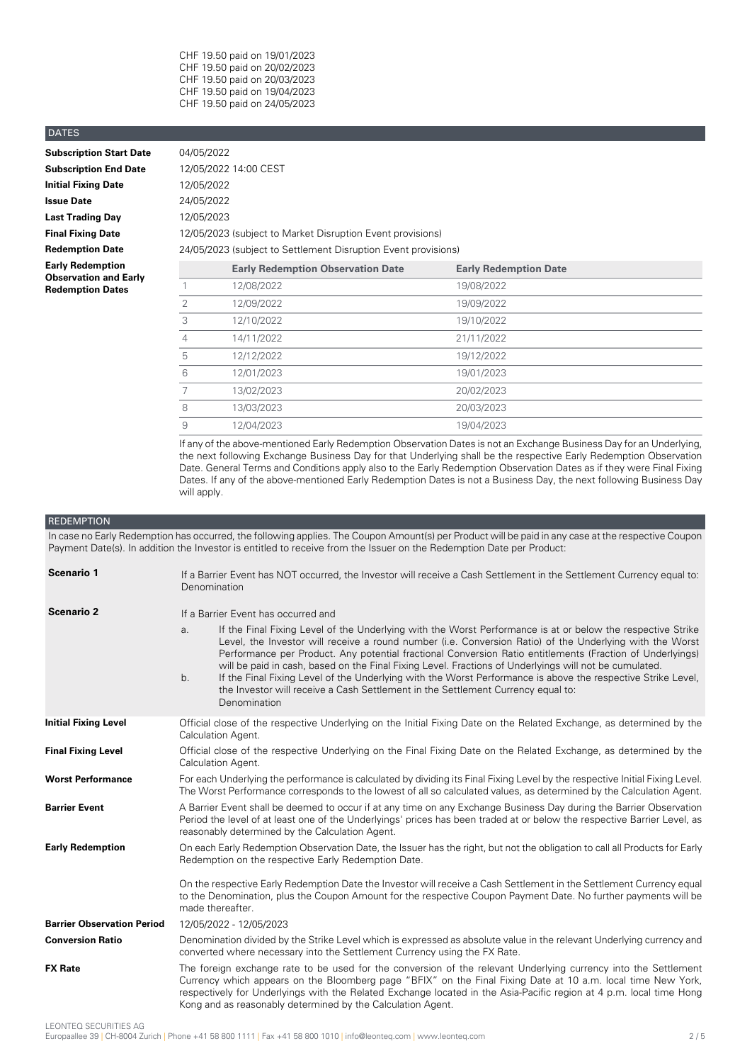CHF 19.50 paid on 19/01/2023 CHF 19.50 paid on 20/02/2023 CHF 19.50 paid on 20/03/2023 CHF 19.50 paid on 19/04/2023 CHF 19.50 paid on 24/05/2023

### DATES

| <b>Subscription Start Date</b>                          | 04/05/2022 |                                                                |                              |  |
|---------------------------------------------------------|------------|----------------------------------------------------------------|------------------------------|--|
| <b>Subscription End Date</b>                            |            | 12/05/2022 14:00 CEST                                          |                              |  |
| <b>Initial Fixing Date</b>                              | 12/05/2022 |                                                                |                              |  |
| <b>Issue Date</b>                                       | 24/05/2022 |                                                                |                              |  |
| <b>Last Trading Day</b>                                 | 12/05/2023 |                                                                |                              |  |
| <b>Final Fixing Date</b>                                |            | 12/05/2023 (subject to Market Disruption Event provisions)     |                              |  |
| <b>Redemption Date</b>                                  |            | 24/05/2023 (subject to Settlement Disruption Event provisions) |                              |  |
| <b>Early Redemption</b><br><b>Observation and Early</b> |            | <b>Early Redemption Observation Date</b>                       | <b>Early Redemption Date</b> |  |
| <b>Redemption Dates</b>                                 |            | 12/08/2022                                                     | 19/08/2022                   |  |
|                                                         | 2          | 12/09/2022                                                     | 19/09/2022                   |  |
|                                                         | 3          | 12/10/2022                                                     | 19/10/2022                   |  |
|                                                         |            |                                                                |                              |  |

|   | 12/09/2022 | 19/09/2022 |
|---|------------|------------|
| 3 | 12/10/2022 | 19/10/2022 |
|   | 14/11/2022 | 21/11/2022 |
| 5 | 12/12/2022 | 19/12/2022 |
| 6 | 12/01/2023 | 19/01/2023 |
|   | 13/02/2023 | 20/02/2023 |
| 8 | 13/03/2023 | 20/03/2023 |
| 9 | 12/04/2023 | 19/04/2023 |

If any of the above-mentioned Early Redemption Observation Dates is not an Exchange Business Day for an Underlying, the next following Exchange Business Day for that Underlying shall be the respective Early Redemption Observation Date. General Terms and Conditions apply also to the Early Redemption Observation Dates as if they were Final Fixing Dates. If any of the above-mentioned Early Redemption Dates is not a Business Day, the next following Business Day will apply.

### REDEMPTION

In case no Early Redemption has occurred, the following applies. The Coupon Amount(s) per Product will be paid in any case at the respective Coupon Payment Date(s). In addition the Investor is entitled to receive from the Issuer on the Redemption Date per Product:

| If a Barrier Event has NOT occurred, the Investor will receive a Cash Settlement in the Settlement Currency equal to:<br>Denomination                                                                                                                                                                                                                                                                                                                                                                                                                                                                                                                                          |  |  |
|--------------------------------------------------------------------------------------------------------------------------------------------------------------------------------------------------------------------------------------------------------------------------------------------------------------------------------------------------------------------------------------------------------------------------------------------------------------------------------------------------------------------------------------------------------------------------------------------------------------------------------------------------------------------------------|--|--|
| If a Barrier Event has occurred and                                                                                                                                                                                                                                                                                                                                                                                                                                                                                                                                                                                                                                            |  |  |
| If the Final Fixing Level of the Underlying with the Worst Performance is at or below the respective Strike<br>a.<br>Level, the Investor will receive a round number (i.e. Conversion Ratio) of the Underlying with the Worst<br>Performance per Product. Any potential fractional Conversion Ratio entitlements (Fraction of Underlyings)<br>will be paid in cash, based on the Final Fixing Level. Fractions of Underlyings will not be cumulated.<br>If the Final Fixing Level of the Underlying with the Worst Performance is above the respective Strike Level,<br>b.<br>the Investor will receive a Cash Settlement in the Settlement Currency equal to:<br>Denomination |  |  |
| Official close of the respective Underlying on the Initial Fixing Date on the Related Exchange, as determined by the<br>Calculation Agent.                                                                                                                                                                                                                                                                                                                                                                                                                                                                                                                                     |  |  |
| Official close of the respective Underlying on the Final Fixing Date on the Related Exchange, as determined by the<br>Calculation Agent.                                                                                                                                                                                                                                                                                                                                                                                                                                                                                                                                       |  |  |
| For each Underlying the performance is calculated by dividing its Final Fixing Level by the respective Initial Fixing Level.<br>The Worst Performance corresponds to the lowest of all so calculated values, as determined by the Calculation Agent.                                                                                                                                                                                                                                                                                                                                                                                                                           |  |  |
| A Barrier Event shall be deemed to occur if at any time on any Exchange Business Day during the Barrier Observation<br>Period the level of at least one of the Underlyings' prices has been traded at or below the respective Barrier Level, as<br>reasonably determined by the Calculation Agent.                                                                                                                                                                                                                                                                                                                                                                             |  |  |
| On each Early Redemption Observation Date, the Issuer has the right, but not the obligation to call all Products for Early<br>Redemption on the respective Early Redemption Date.                                                                                                                                                                                                                                                                                                                                                                                                                                                                                              |  |  |
| On the respective Early Redemption Date the Investor will receive a Cash Settlement in the Settlement Currency equal<br>to the Denomination, plus the Coupon Amount for the respective Coupon Payment Date. No further payments will be<br>made thereafter.                                                                                                                                                                                                                                                                                                                                                                                                                    |  |  |
| 12/05/2022 - 12/05/2023                                                                                                                                                                                                                                                                                                                                                                                                                                                                                                                                                                                                                                                        |  |  |
| Denomination divided by the Strike Level which is expressed as absolute value in the relevant Underlying currency and<br>converted where necessary into the Settlement Currency using the FX Rate.                                                                                                                                                                                                                                                                                                                                                                                                                                                                             |  |  |
| The foreign exchange rate to be used for the conversion of the relevant Underlying currency into the Settlement<br>Currency which appears on the Bloomberg page "BFIX" on the Final Fixing Date at 10 a.m. local time New York,<br>respectively for Underlyings with the Related Exchange located in the Asia-Pacific region at 4 p.m. local time Hong<br>Kong and as reasonably determined by the Calculation Agent.                                                                                                                                                                                                                                                          |  |  |
|                                                                                                                                                                                                                                                                                                                                                                                                                                                                                                                                                                                                                                                                                |  |  |

LEONTEQ SECURITIES AG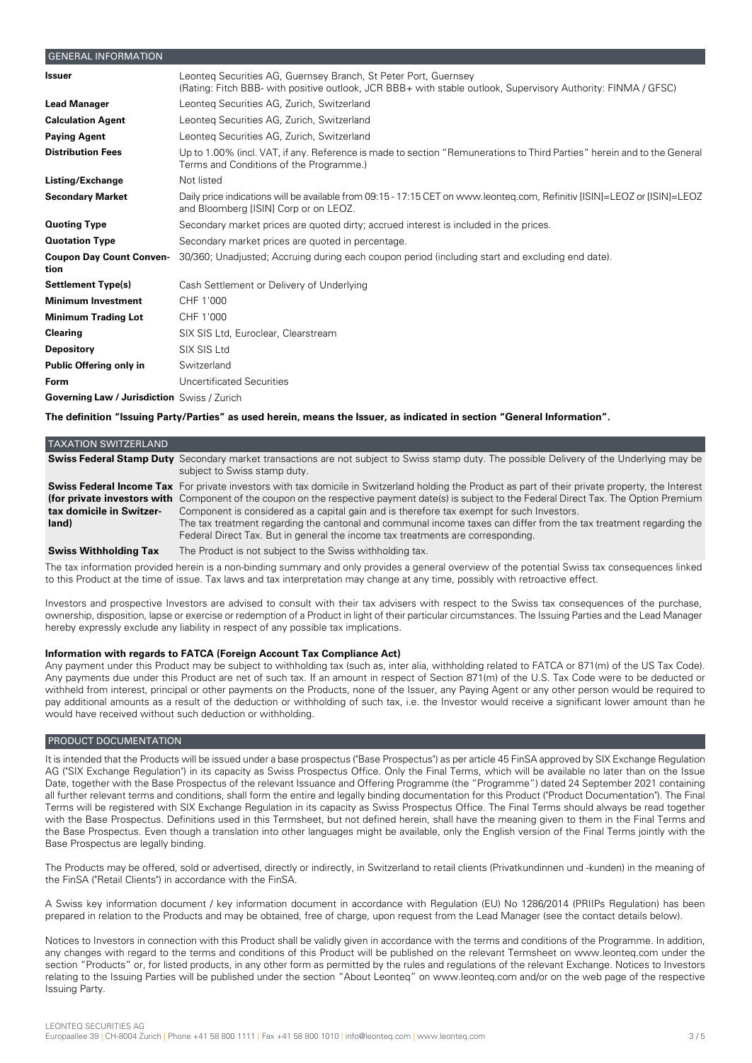# GENERAL INFORMATION Leonteq Securities AG, Guernsey Branch, St Peter Port, Guernsey (Rating: Fitch BBB- with positive outlook, JCR BBB+ with stable outlook, Supervisory Authority: FINMA / GFSC) **Issuer Lead Manager** Leonteq Securities AG, Zurich, Switzerland **Calculation Agent** Leonteq Securities AG, Zurich, Switzerland **Paying Agent** Leonteq Securities AG, Zurich, Switzerland Up to 1.00% (incl. VAT, if any. Reference is made to section "Remunerations to Third Parties" herein and to the General Terms and Conditions of the Programme.) **Distribution Fees Listing/Exchange** Not listed Daily price indications will be available from 09:15 - 17:15 CET on www.leonteq.com, Refinitiv [ISIN]=LEOZ or [ISIN]=LEOZ and Bloomberg [ISIN] Corp or on LEOZ. **Secondary Market Quoting Type** Secondary market prices are quoted dirty; accrued interest is included in the prices. **Quotation Type** Secondary market prices are quoted in percentage. **Coupon Day Count Conven-** 30/360; Unadjusted; Accruing during each coupon period (including start and excluding end date). **tion Settlement Type(s)** Cash Settlement or Delivery of Underlying **Minimum Investment** CHF 1'000 **Minimum Trading Lot** CHF 1'000 **Clearing** SIX SIS Ltd, Euroclear, Clearstream **Depository** SIX SIS Ltd **Public Offering only in** Switzerland **Form** Uncertificated Securities **Governing Law / Jurisdiction** Swiss / Zurich

The definition "Issuing Party/Parties" as used herein, means the Issuer, as indicated in section "General Information".

| <b>TAXATION SWITZERLAND</b>       |                                                                                                                                                                                                                                                                                                                                                                                                                                                                                                                                                                                                                    |
|-----------------------------------|--------------------------------------------------------------------------------------------------------------------------------------------------------------------------------------------------------------------------------------------------------------------------------------------------------------------------------------------------------------------------------------------------------------------------------------------------------------------------------------------------------------------------------------------------------------------------------------------------------------------|
|                                   | <b>Swiss Federal Stamp Duty</b> Secondary market transactions are not subject to Swiss stamp duty. The possible Delivery of the Underlying may be<br>subject to Swiss stamp duty.                                                                                                                                                                                                                                                                                                                                                                                                                                  |
| tax domicile in Switzer-<br>land) | <b>Swiss Federal Income Tax</b> For private investors with tax domicile in Switzerland holding the Product as part of their private property, the Interest<br>(for private investors with Component of the coupon on the respective payment date(s) is subject to the Federal Direct Tax. The Option Premium<br>Component is considered as a capital gain and is therefore tax exempt for such Investors.<br>The tax treatment regarding the cantonal and communal income taxes can differ from the tax treatment regarding the<br>Federal Direct Tax. But in general the income tax treatments are corresponding. |
| <b>Swiss Withholding Tax</b>      | The Product is not subject to the Swiss withholding tax.                                                                                                                                                                                                                                                                                                                                                                                                                                                                                                                                                           |

The tax information provided herein is a non-binding summary and only provides a general overview of the potential Swiss tax consequences linked to this Product at the time of issue. Tax laws and tax interpretation may change at any time, possibly with retroactive effect.

Investors and prospective Investors are advised to consult with their tax advisers with respect to the Swiss tax consequences of the purchase, ownership, disposition, lapse or exercise or redemption of a Product in light of their particular circumstances. The Issuing Parties and the Lead Manager hereby expressly exclude any liability in respect of any possible tax implications.

# **Information with regards to FATCA (Foreign Account Tax Compliance Act)**

Any payment under this Product may be subject to withholding tax (such as, inter alia, withholding related to FATCA or 871(m) of the US Tax Code). Any payments due under this Product are net of such tax. If an amount in respect of Section 871(m) of the U.S. Tax Code were to be deducted or withheld from interest, principal or other payments on the Products, none of the Issuer, any Paying Agent or any other person would be required to pay additional amounts as a result of the deduction or withholding of such tax, i.e. the Investor would receive a significant lower amount than he would have received without such deduction or withholding.

# PRODUCT DOCUMENTATION

It is intended that the Products will be issued under a base prospectus ("Base Prospectus") as per article 45 FinSA approved by SIX Exchange Regulation AG ("SIX Exchange Regulation") in its capacity as Swiss Prospectus Office. Only the Final Terms, which will be available no later than on the Issue Date, together with the Base Prospectus of the relevant Issuance and Offering Programme (the "Programme") dated 24 September 2021 containing all further relevant terms and conditions, shall form the entire and legally binding documentation for this Product ("Product Documentation"). The Final Terms will be registered with SIX Exchange Regulation in its capacity as Swiss Prospectus Office. The Final Terms should always be read together with the Base Prospectus. Definitions used in this Termsheet, but not defined herein, shall have the meaning given to them in the Final Terms and the Base Prospectus. Even though a translation into other languages might be available, only the English version of the Final Terms jointly with the Base Prospectus are legally binding.

The Products may be offered, sold or advertised, directly or indirectly, in Switzerland to retail clients (Privatkundinnen und -kunden) in the meaning of the FinSA ("Retail Clients") in accordance with the FinSA.

A Swiss key information document / key information document in accordance with Regulation (EU) No 1286/2014 (PRIIPs Regulation) has been prepared in relation to the Products and may be obtained, free of charge, upon request from the Lead Manager (see the contact details below).

Notices to Investors in connection with this Product shall be validly given in accordance with the terms and conditions of the Programme. In addition, any changes with regard to the terms and conditions of this Product will be published on the relevant Termsheet on www.leonteq.com under the section "Products" or, for listed products, in any other form as permitted by the rules and regulations of the relevant Exchange. Notices to Investors relating to the Issuing Parties will be published under the section "About Leonteq" on www.leonteq.com and/or on the web page of the respective Issuing Party.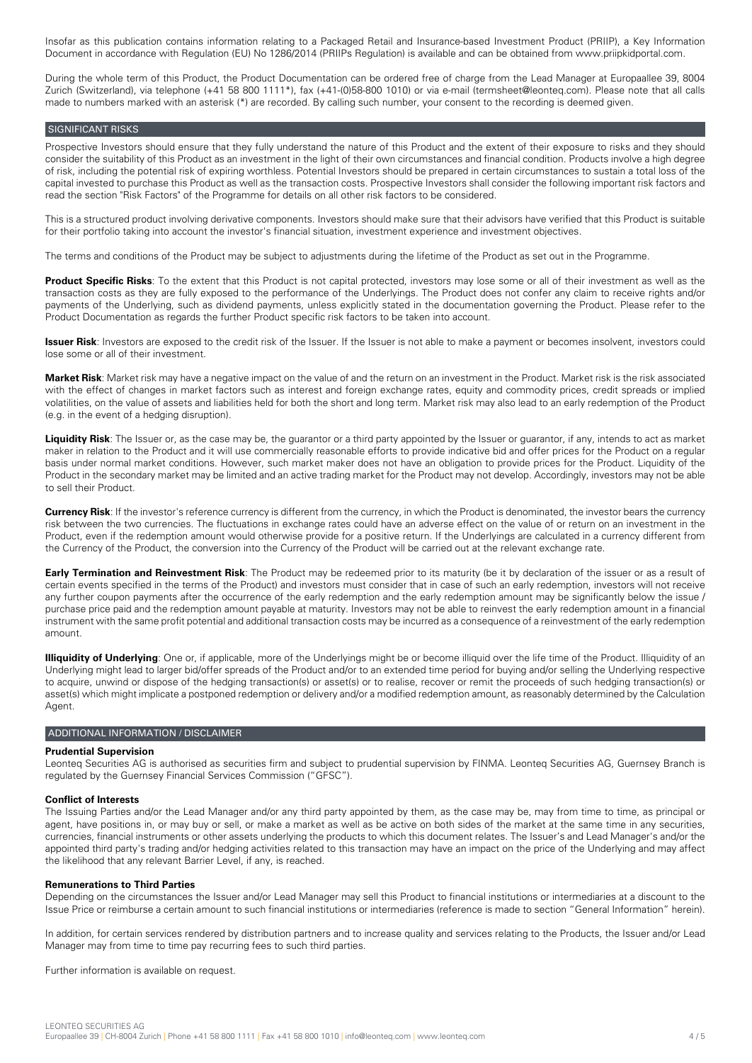Insofar as this publication contains information relating to a Packaged Retail and Insurance-based Investment Product (PRIIP), a Key Information Document in accordance with Regulation (EU) No 1286/2014 (PRIIPs Regulation) is available and can be obtained from www.priipkidportal.com.

During the whole term of this Product, the Product Documentation can be ordered free of charge from the Lead Manager at Europaallee 39, 8004 Zurich (Switzerland), via telephone (+41 58 800 1111\*), fax (+41-(0)58-800 1010) or via e-mail (termsheet@leonteq.com). Please note that all calls made to numbers marked with an asterisk (\*) are recorded. By calling such number, your consent to the recording is deemed given.

### SIGNIFICANT RISKS

Prospective Investors should ensure that they fully understand the nature of this Product and the extent of their exposure to risks and they should consider the suitability of this Product as an investment in the light of their own circumstances and financial condition. Products involve a high degree of risk, including the potential risk of expiring worthless. Potential Investors should be prepared in certain circumstances to sustain a total loss of the capital invested to purchase this Product as well as the transaction costs. Prospective Investors shall consider the following important risk factors and read the section "Risk Factors" of the Programme for details on all other risk factors to be considered.

This is a structured product involving derivative components. Investors should make sure that their advisors have verified that this Product is suitable for their portfolio taking into account the investor's financial situation, investment experience and investment objectives.

The terms and conditions of the Product may be subject to adjustments during the lifetime of the Product as set out in the Programme.

**Product Specific Risks**: To the extent that this Product is not capital protected, investors may lose some or all of their investment as well as the transaction costs as they are fully exposed to the performance of the Underlyings. The Product does not confer any claim to receive rights and/or payments of the Underlying, such as dividend payments, unless explicitly stated in the documentation governing the Product. Please refer to the Product Documentation as regards the further Product specific risk factors to be taken into account.

**Issuer Risk**: Investors are exposed to the credit risk of the Issuer. If the Issuer is not able to make a payment or becomes insolvent, investors could lose some or all of their investment.

**Market Risk**: Market risk may have a negative impact on the value of and the return on an investment in the Product. Market risk is the risk associated with the effect of changes in market factors such as interest and foreign exchange rates, equity and commodity prices, credit spreads or implied volatilities, on the value of assets and liabilities held for both the short and long term. Market risk may also lead to an early redemption of the Product (e.g. in the event of a hedging disruption).

**Liquidity Risk**: The Issuer or, as the case may be, the guarantor or a third party appointed by the Issuer or guarantor, if any, intends to act as market maker in relation to the Product and it will use commercially reasonable efforts to provide indicative bid and offer prices for the Product on a regular basis under normal market conditions. However, such market maker does not have an obligation to provide prices for the Product. Liquidity of the Product in the secondary market may be limited and an active trading market for the Product may not develop. Accordingly, investors may not be able to sell their Product.

**Currency Risk**: If the investor's reference currency is different from the currency, in which the Product is denominated, the investor bears the currency risk between the two currencies. The fluctuations in exchange rates could have an adverse effect on the value of or return on an investment in the Product, even if the redemption amount would otherwise provide for a positive return. If the Underlyings are calculated in a currency different from the Currency of the Product, the conversion into the Currency of the Product will be carried out at the relevant exchange rate.

**Early Termination and Reinvestment Risk**: The Product may be redeemed prior to its maturity (be it by declaration of the issuer or as a result of certain events specified in the terms of the Product) and investors must consider that in case of such an early redemption, investors will not receive any further coupon payments after the occurrence of the early redemption and the early redemption amount may be significantly below the issue / purchase price paid and the redemption amount payable at maturity. Investors may not be able to reinvest the early redemption amount in a financial instrument with the same profit potential and additional transaction costs may be incurred as a consequence of a reinvestment of the early redemption amount.

**Illiquidity of Underlying**: One or, if applicable, more of the Underlyings might be or become illiquid over the life time of the Product. Illiquidity of an Underlying might lead to larger bid/offer spreads of the Product and/or to an extended time period for buying and/or selling the Underlying respective to acquire, unwind or dispose of the hedging transaction(s) or asset(s) or to realise, recover or remit the proceeds of such hedging transaction(s) or asset(s) which might implicate a postponed redemption or delivery and/or a modified redemption amount, as reasonably determined by the Calculation Agent.

### ADDITIONAL INFORMATION / DISCLAIMER

### **Prudential Supervision**

Leonteq Securities AG is authorised as securities firm and subject to prudential supervision by FINMA. Leonteq Securities AG, Guernsey Branch is regulated by the Guernsey Financial Services Commission ("GFSC").

#### **Conflict of Interests**

The Issuing Parties and/or the Lead Manager and/or any third party appointed by them, as the case may be, may from time to time, as principal or agent, have positions in, or may buy or sell, or make a market as well as be active on both sides of the market at the same time in any securities, currencies, financial instruments or other assets underlying the products to which this document relates. The Issuer's and Lead Manager's and/or the appointed third party's trading and/or hedging activities related to this transaction may have an impact on the price of the Underlying and may affect the likelihood that any relevant Barrier Level, if any, is reached.

### **Remunerations to Third Parties**

Depending on the circumstances the Issuer and/or Lead Manager may sell this Product to financial institutions or intermediaries at a discount to the Issue Price or reimburse a certain amount to such financial institutions or intermediaries (reference is made to section "General Information" herein).

In addition, for certain services rendered by distribution partners and to increase quality and services relating to the Products, the Issuer and/or Lead Manager may from time to time pay recurring fees to such third parties.

Further information is available on request.